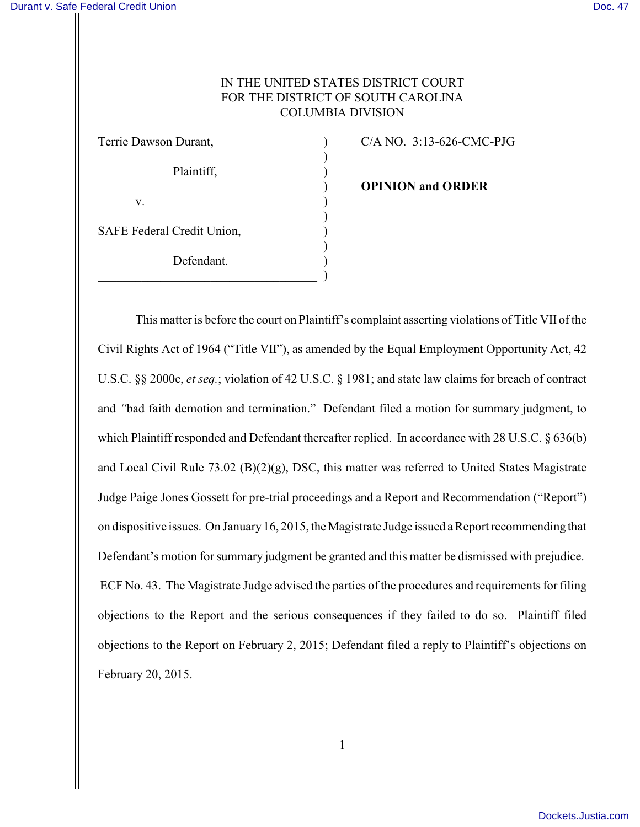# IN THE UNITED STATES DISTRICT COURT FOR THE DISTRICT OF SOUTH CAROLINA COLUMBIA DIVISION

| Terrie Dawson Durant,      |  |
|----------------------------|--|
| Plaintiff,                 |  |
| V.                         |  |
| SAFE Federal Credit Union, |  |
| Defendant.                 |  |
|                            |  |

 $C/A$  NO. 3:13-626-CMC-PJG

) **OPINION and ORDER**

This matter is before the court on Plaintiff's complaint asserting violations of Title VII of the Civil Rights Act of 1964 ("Title VII"), as amended by the Equal Employment Opportunity Act, 42 U.S.C. §§ 2000e, *et seq.*; violation of 42 U.S.C. § 1981; and state law claims for breach of contract and *"*bad faith demotion and termination."Defendant filed a motion for summary judgment, to which Plaintiff responded and Defendant thereafter replied. In accordance with 28 U.S.C. § 636(b) and Local Civil Rule 73.02 (B)(2)(g), DSC, this matter was referred to United States Magistrate Judge Paige Jones Gossett for pre-trial proceedings and a Report and Recommendation ("Report") on dispositive issues. On January 16, 2015, the Magistrate Judge issued a Report recommending that Defendant's motion for summary judgment be granted and this matter be dismissed with prejudice. ECF No. 43. The Magistrate Judge advised the parties of the procedures and requirements for filing objections to the Report and the serious consequences if they failed to do so. Plaintiff filed objections to the Report on February 2, 2015; Defendant filed a reply to Plaintiff's objections on February 20, 2015.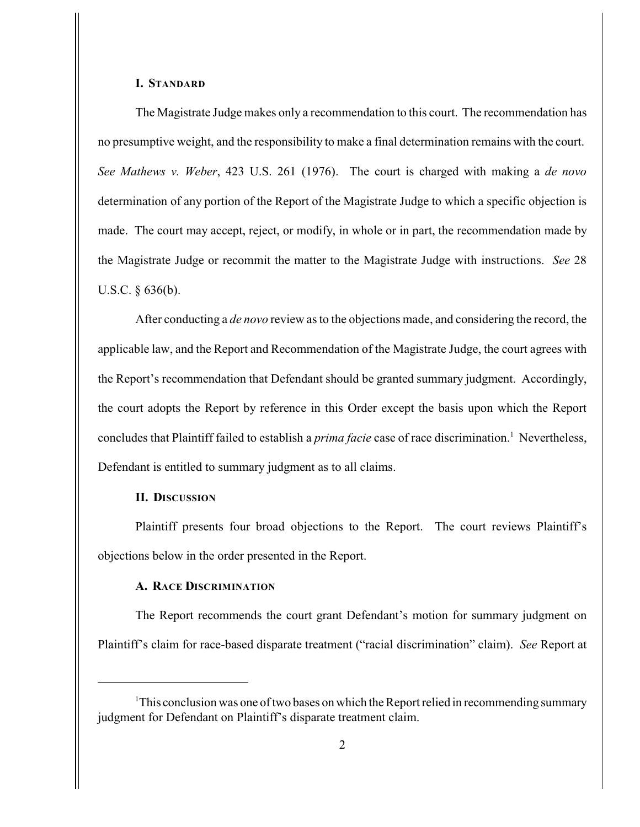#### **I. STANDARD**

The Magistrate Judge makes only a recommendation to this court. The recommendation has no presumptive weight, and the responsibility to make a final determination remains with the court. *See Mathews v. Weber*, 423 U.S. 261 (1976). The court is charged with making a *de novo* determination of any portion of the Report of the Magistrate Judge to which a specific objection is made. The court may accept, reject, or modify, in whole or in part, the recommendation made by the Magistrate Judge or recommit the matter to the Magistrate Judge with instructions. *See* 28 U.S.C. § 636(b).

After conducting a *de novo* review as to the objections made, and considering the record, the applicable law, and the Report and Recommendation of the Magistrate Judge, the court agrees with the Report's recommendation that Defendant should be granted summary judgment. Accordingly, the court adopts the Report by reference in this Order except the basis upon which the Report concludes that Plaintiff failed to establish a *prima facie* case of race discrimination.<sup>1</sup> Nevertheless, Defendant is entitled to summary judgment as to all claims.

## **II. DISCUSSION**

Plaintiff presents four broad objections to the Report. The court reviews Plaintiff's objections below in the order presented in the Report.

# **A. RACE DISCRIMINATION**

The Report recommends the court grant Defendant's motion for summary judgment on Plaintiff's claim for race-based disparate treatment ("racial discrimination" claim). *See* Report at

<sup>&</sup>lt;sup>1</sup>This conclusion was one of two bases on which the Report relied in recommending summary judgment for Defendant on Plaintiff's disparate treatment claim.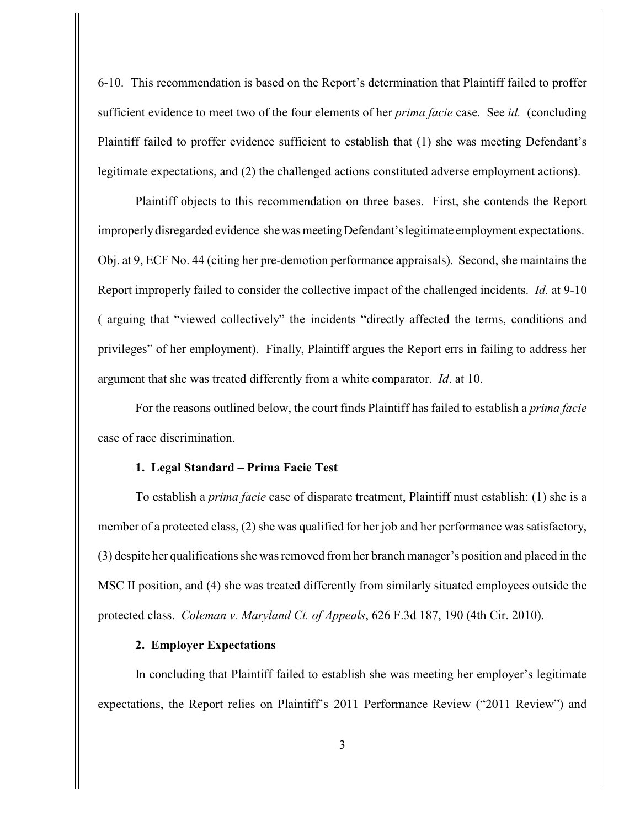6-10. This recommendation is based on the Report's determination that Plaintiff failed to proffer sufficient evidence to meet two of the four elements of her *prima facie* case. See *id.* (concluding Plaintiff failed to proffer evidence sufficient to establish that (1) she was meeting Defendant's legitimate expectations, and (2) the challenged actions constituted adverse employment actions).

Plaintiff objects to this recommendation on three bases. First, she contends the Report improperly disregarded evidence she was meeting Defendant's legitimate employment expectations. Obj. at 9, ECF No. 44 (citing her pre-demotion performance appraisals). Second, she maintains the Report improperly failed to consider the collective impact of the challenged incidents. *Id.* at 9-10 ( arguing that "viewed collectively" the incidents "directly affected the terms, conditions and privileges" of her employment). Finally, Plaintiff argues the Report errs in failing to address her argument that she was treated differently from a white comparator. *Id*. at 10.

For the reasons outlined below, the court finds Plaintiff has failed to establish a *prima facie* case of race discrimination.

#### **1. Legal Standard – Prima Facie Test**

To establish a *prima facie* case of disparate treatment, Plaintiff must establish: (1) she is a member of a protected class, (2) she was qualified for her job and her performance was satisfactory, (3) despite her qualifications she was removed from her branch manager's position and placed in the MSC II position, and (4) she was treated differently from similarly situated employees outside the protected class. *Coleman v. Maryland Ct. of Appeals*, 626 F.3d 187, 190 (4th Cir. 2010).

### **2. Employer Expectations**

In concluding that Plaintiff failed to establish she was meeting her employer's legitimate expectations, the Report relies on Plaintiff's 2011 Performance Review ("2011 Review") and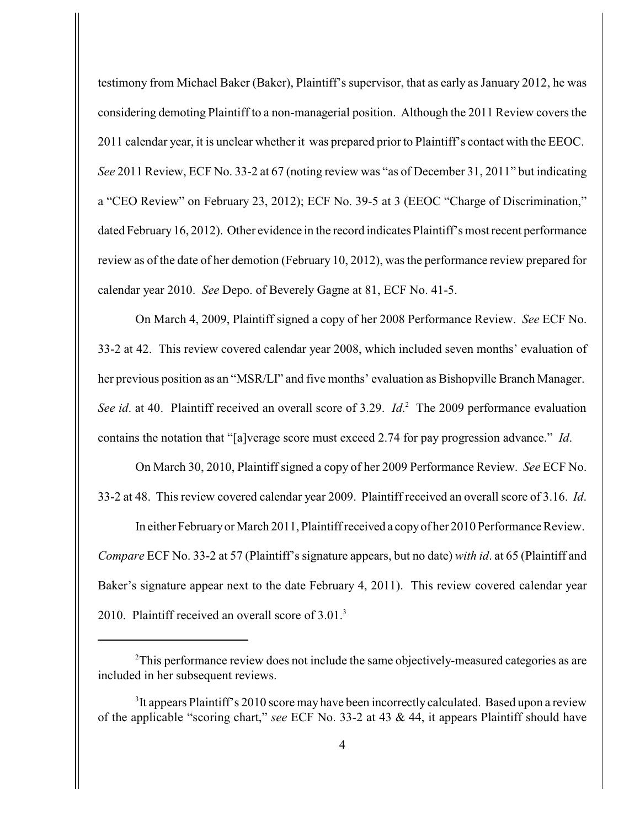testimony from Michael Baker (Baker), Plaintiff's supervisor, that as early as January 2012, he was considering demoting Plaintiff to a non-managerial position. Although the 2011 Review covers the 2011 calendar year, it is unclear whether it was prepared prior to Plaintiff's contact with the EEOC. *See* 2011 Review, ECF No. 33-2 at 67 (noting review was "as of December 31, 2011" but indicating a "CEO Review" on February 23, 2012); ECF No. 39-5 at 3 (EEOC "Charge of Discrimination," dated February 16, 2012). Other evidence in the record indicates Plaintiff's most recent performance review as of the date of her demotion (February 10, 2012), was the performance review prepared for calendar year 2010. *See* Depo. of Beverely Gagne at 81, ECF No. 41-5.

On March 4, 2009, Plaintiff signed a copy of her 2008 Performance Review. *See* ECF No. 33-2 at 42. This review covered calendar year 2008, which included seven months' evaluation of her previous position as an "MSR/LI" and five months' evaluation as Bishopville Branch Manager. *See id.* at 40. Plaintiff received an overall score of 3.29. *Id.* <sup>2</sup> The 2009 performance evaluation contains the notation that "[a]verage score must exceed 2.74 for pay progression advance." *Id*.

On March 30, 2010, Plaintiff signed a copy of her 2009 Performance Review. *See* ECF No. 33-2 at 48. This review covered calendar year 2009. Plaintiff received an overall score of 3.16. *Id*.

In either February or March 2011, Plaintiff received a copy of her 2010 Performance Review. *Compare* ECF No. 33-2 at 57 (Plaintiff's signature appears, but no date) *with id*. at 65 (Plaintiff and Baker's signature appear next to the date February 4, 2011). This review covered calendar year 2010. Plaintiff received an overall score of 3.01.<sup>3</sup>

<sup>&</sup>lt;sup>2</sup>This performance review does not include the same objectively-measured categories as are included in her subsequent reviews.

 ${}^{3}$ It appears Plaintiff's 2010 score may have been incorrectly calculated. Based upon a review of the applicable "scoring chart," *see* ECF No. 33-2 at 43 & 44, it appears Plaintiff should have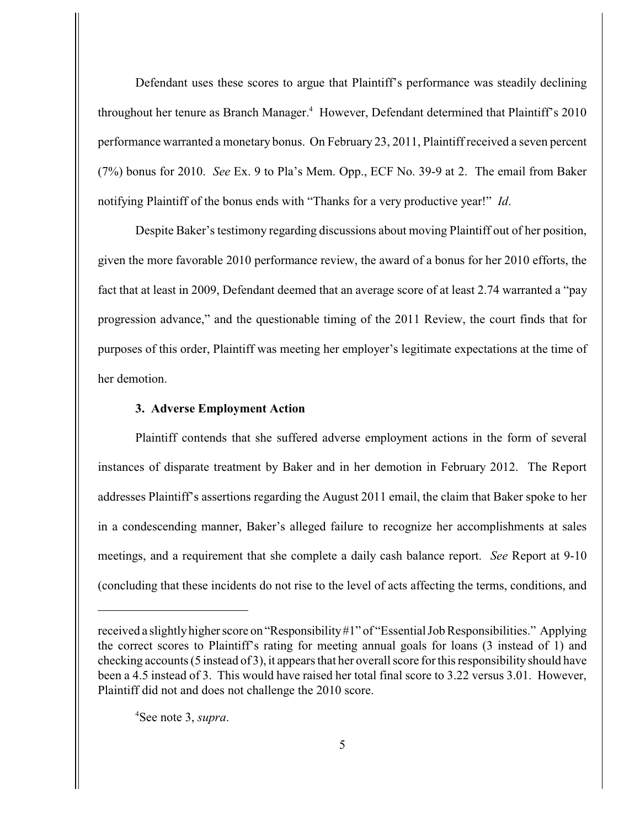Defendant uses these scores to argue that Plaintiff's performance was steadily declining throughout her tenure as Branch Manager.<sup>4</sup> However, Defendant determined that Plaintiff's 2010 performance warranted a monetary bonus. On February 23, 2011, Plaintiff received a seven percent (7%) bonus for 2010. *See* Ex. 9 to Pla's Mem. Opp., ECF No. 39-9 at 2. The email from Baker notifying Plaintiff of the bonus ends with "Thanks for a very productive year!" *Id*.

Despite Baker's testimony regarding discussions about moving Plaintiff out of her position, given the more favorable 2010 performance review, the award of a bonus for her 2010 efforts, the fact that at least in 2009, Defendant deemed that an average score of at least 2.74 warranted a "pay progression advance," and the questionable timing of the 2011 Review, the court finds that for purposes of this order, Plaintiff was meeting her employer's legitimate expectations at the time of her demotion.

### **3. Adverse Employment Action**

Plaintiff contends that she suffered adverse employment actions in the form of several instances of disparate treatment by Baker and in her demotion in February 2012. The Report addresses Plaintiff's assertions regarding the August 2011 email, the claim that Baker spoke to her in a condescending manner, Baker's alleged failure to recognize her accomplishments at sales meetings, and a requirement that she complete a daily cash balance report. *See* Report at 9-10 (concluding that these incidents do not rise to the level of acts affecting the terms, conditions, and

<sup>4</sup>See note 3, *supra*.

received a slightly higher score on "Responsibility #1" of "Essential Job Responsibilities." Applying the correct scores to Plaintiff's rating for meeting annual goals for loans (3 instead of 1) and checking accounts (5 instead of 3), it appears that her overall score for this responsibility should have been a 4.5 instead of 3. This would have raised her total final score to 3.22 versus 3.01. However, Plaintiff did not and does not challenge the 2010 score.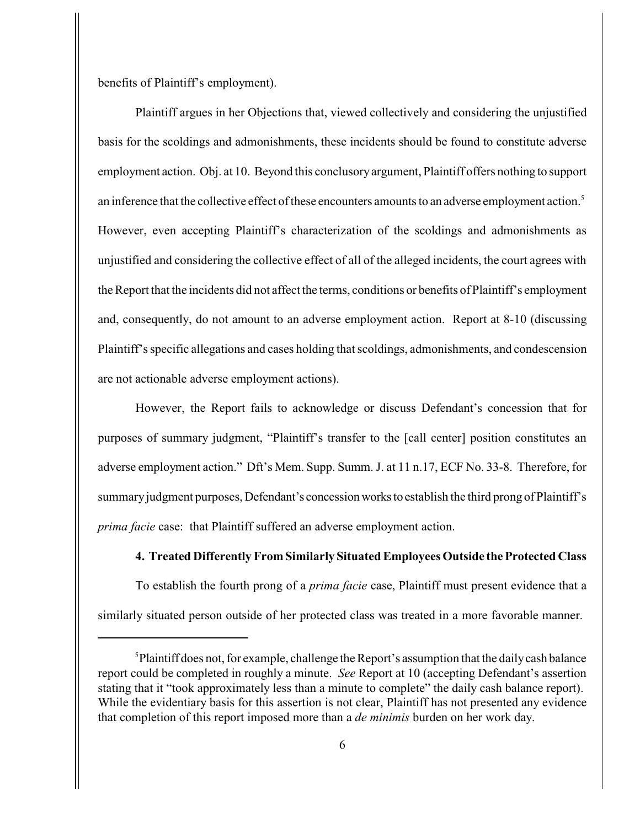benefits of Plaintiff's employment).

Plaintiff argues in her Objections that, viewed collectively and considering the unjustified basis for the scoldings and admonishments, these incidents should be found to constitute adverse employment action. Obj. at 10. Beyond this conclusory argument, Plaintiff offers nothing to support an inference that the collective effect of these encounters amounts to an adverse employment action. <sup>5</sup> However, even accepting Plaintiff's characterization of the scoldings and admonishments as unjustified and considering the collective effect of all of the alleged incidents, the court agrees with the Report that the incidents did not affect the terms, conditions or benefits of Plaintiff's employment and, consequently, do not amount to an adverse employment action. Report at 8-10 (discussing Plaintiff's specific allegations and cases holding that scoldings, admonishments, and condescension are not actionable adverse employment actions).

However, the Report fails to acknowledge or discuss Defendant's concession that for purposes of summary judgment, "Plaintiff's transfer to the [call center] position constitutes an adverse employment action." Dft's Mem. Supp. Summ. J. at 11 n.17, ECF No. 33-8. Therefore, for summary judgment purposes, Defendant's concession works to establish the third prong of Plaintiff's *prima facie* case: that Plaintiff suffered an adverse employment action.

#### **4. Treated Differently From Similarly Situated Employees Outside the Protected Class**

To establish the fourth prong of a *prima facie* case, Plaintiff must present evidence that a similarly situated person outside of her protected class was treated in a more favorable manner.

 ${}^{5}$ Plaintiff does not, for example, challenge the Report's assumption that the daily cash balance report could be completed in roughly a minute. *See* Report at 10 (accepting Defendant's assertion stating that it "took approximately less than a minute to complete" the daily cash balance report). While the evidentiary basis for this assertion is not clear, Plaintiff has not presented any evidence that completion of this report imposed more than a *de minimis* burden on her work day.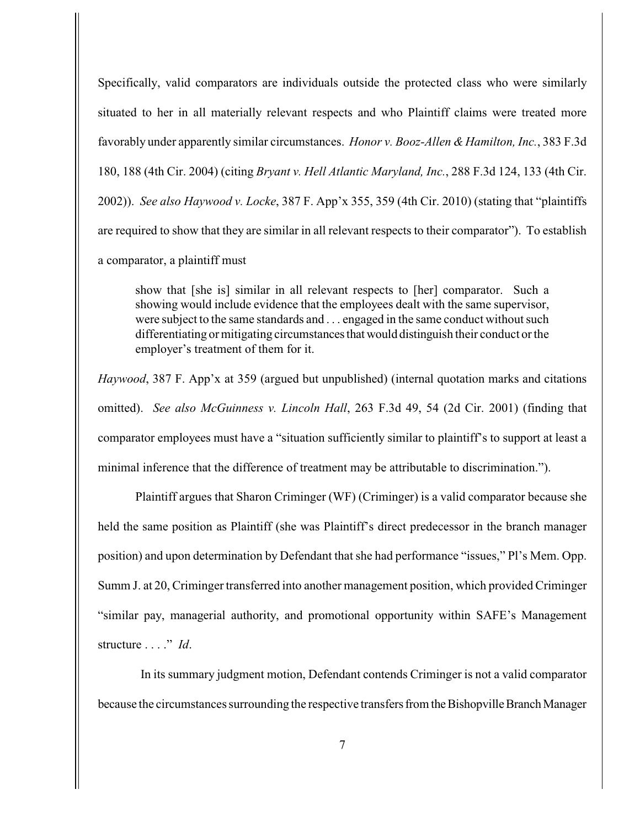Specifically, valid comparators are individuals outside the protected class who were similarly situated to her in all materially relevant respects and who Plaintiff claims were treated more favorably under apparently similar circumstances. *Honor v. Booz-Allen & Hamilton, Inc.*, 383 F.3d 180, 188 (4th Cir. 2004) (citing *Bryant v. Hell Atlantic Maryland, Inc.*, 288 F.3d 124, 133 (4th Cir. 2002)). *See also Haywood v. Locke*, 387 F. App'x 355, 359 (4th Cir. 2010) (stating that "plaintiffs are required to show that they are similar in all relevant respects to their comparator"). To establish a comparator, a plaintiff must

show that [she is] similar in all relevant respects to [her] comparator. Such a showing would include evidence that the employees dealt with the same supervisor, were subject to the same standards and . . . engaged in the same conduct without such differentiating or mitigating circumstances that would distinguish their conduct or the employer's treatment of them for it.

*Haywood*, 387 F. App'x at 359 (argued but unpublished) (internal quotation marks and citations omitted). *See also McGuinness v. Lincoln Hall*, 263 F.3d 49, 54 (2d Cir. 2001) (finding that comparator employees must have a "situation sufficiently similar to plaintiff's to support at least a minimal inference that the difference of treatment may be attributable to discrimination.").

Plaintiff argues that Sharon Criminger (WF) (Criminger) is a valid comparator because she held the same position as Plaintiff (she was Plaintiff's direct predecessor in the branch manager position) and upon determination by Defendant that she had performance "issues," Pl's Mem. Opp. Summ J. at 20, Criminger transferred into another management position, which provided Criminger "similar pay, managerial authority, and promotional opportunity within SAFE's Management structure . . . ." *Id*.

 In its summary judgment motion, Defendant contends Criminger is not a valid comparator because the circumstances surrounding the respective transfers from the Bishopville Branch Manager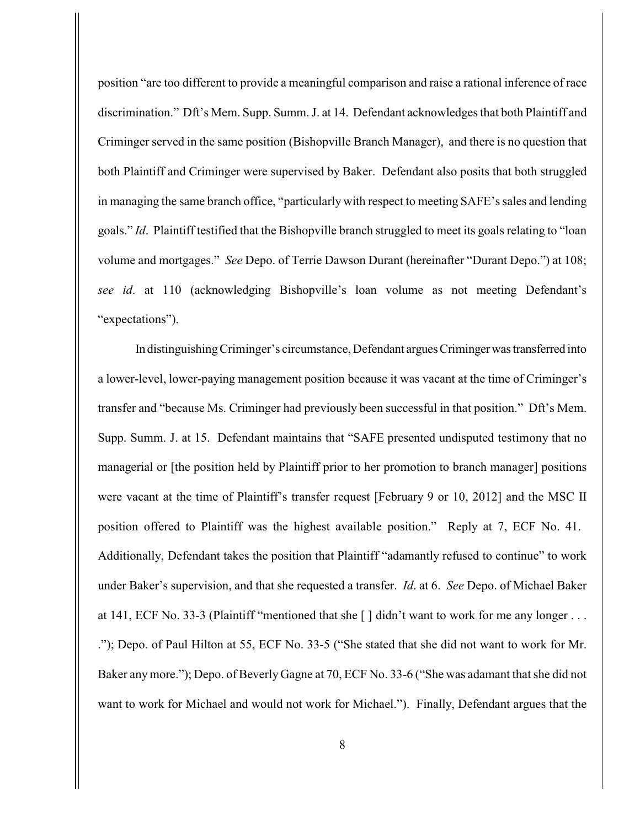position "are too different to provide a meaningful comparison and raise a rational inference of race discrimination." Dft's Mem. Supp. Summ. J. at 14. Defendant acknowledges that both Plaintiff and Criminger served in the same position (Bishopville Branch Manager), and there is no question that both Plaintiff and Criminger were supervised by Baker. Defendant also posits that both struggled in managing the same branch office, "particularly with respect to meeting SAFE's sales and lending goals." *Id*. Plaintiff testified that the Bishopville branch struggled to meet its goals relating to "loan volume and mortgages." *See* Depo. of Terrie Dawson Durant (hereinafter "Durant Depo.") at 108; *see id*. at 110 (acknowledging Bishopville's loan volume as not meeting Defendant's "expectations").

In distinguishing Criminger's circumstance, Defendant argues Criminger was transferred into a lower-level, lower-paying management position because it was vacant at the time of Criminger's transfer and "because Ms. Criminger had previously been successful in that position." Dft's Mem. Supp. Summ. J. at 15. Defendant maintains that "SAFE presented undisputed testimony that no managerial or [the position held by Plaintiff prior to her promotion to branch manager] positions were vacant at the time of Plaintiff's transfer request [February 9 or 10, 2012] and the MSC II position offered to Plaintiff was the highest available position." Reply at 7, ECF No. 41. Additionally, Defendant takes the position that Plaintiff "adamantly refused to continue" to work under Baker's supervision, and that she requested a transfer. *Id*. at 6. *See* Depo. of Michael Baker at 141, ECF No. 33-3 (Plaintiff "mentioned that she  $\lceil \cdot \rceil$  didn't want to work for me any longer ... ."); Depo. of Paul Hilton at 55, ECF No. 33-5 ("She stated that she did not want to work for Mr. Baker any more."); Depo. of Beverly Gagne at 70, ECF No. 33-6 ("She was adamant that she did not want to work for Michael and would not work for Michael."). Finally, Defendant argues that the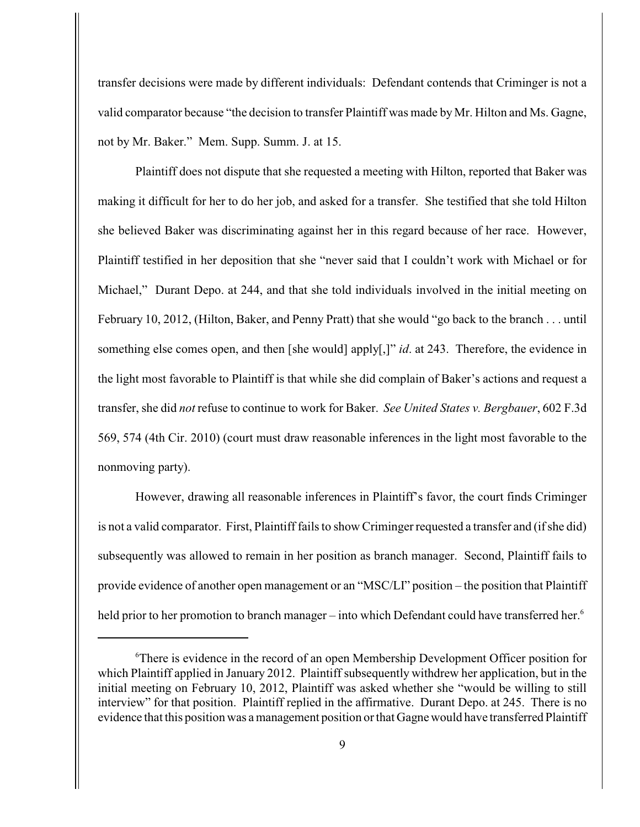transfer decisions were made by different individuals: Defendant contends that Criminger is not a valid comparator because "the decision to transfer Plaintiff was made by Mr. Hilton and Ms. Gagne, not by Mr. Baker." Mem. Supp. Summ. J. at 15.

Plaintiff does not dispute that she requested a meeting with Hilton, reported that Baker was making it difficult for her to do her job, and asked for a transfer. She testified that she told Hilton she believed Baker was discriminating against her in this regard because of her race. However, Plaintiff testified in her deposition that she "never said that I couldn't work with Michael or for Michael," Durant Depo. at 244, and that she told individuals involved in the initial meeting on February 10, 2012, (Hilton, Baker, and Penny Pratt) that she would "go back to the branch . . . until something else comes open, and then [she would] apply[,]" *id*. at 243. Therefore, the evidence in the light most favorable to Plaintiff is that while she did complain of Baker's actions and request a transfer, she did *not* refuse to continue to work for Baker. *See United States v. Bergbauer*, 602 F.3d 569, 574 (4th Cir. 2010) (court must draw reasonable inferences in the light most favorable to the nonmoving party).

However, drawing all reasonable inferences in Plaintiff's favor, the court finds Criminger is not a valid comparator. First, Plaintiff fails to show Criminger requested a transfer and (if she did) subsequently was allowed to remain in her position as branch manager. Second, Plaintiff fails to provide evidence of another open management or an "MSC/LI" position – the position that Plaintiff held prior to her promotion to branch manager – into which Defendant could have transferred her.<sup>6</sup>

<sup>&</sup>lt;sup>6</sup>There is evidence in the record of an open Membership Development Officer position for which Plaintiff applied in January 2012. Plaintiff subsequently withdrew her application, but in the initial meeting on February 10, 2012, Plaintiff was asked whether she "would be willing to still interview" for that position. Plaintiff replied in the affirmative. Durant Depo. at 245. There is no evidence that this position was a management position or that Gagne would have transferred Plaintiff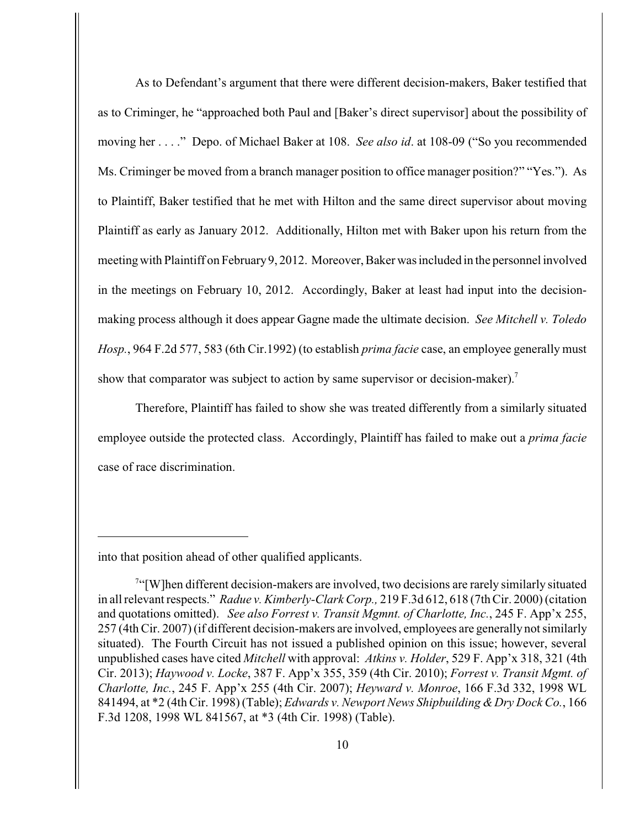As to Defendant's argument that there were different decision-makers, Baker testified that as to Criminger, he "approached both Paul and [Baker's direct supervisor] about the possibility of moving her . . . ." Depo. of Michael Baker at 108. *See also id*. at 108-09 ("So you recommended Ms. Criminger be moved from a branch manager position to office manager position?" "Yes."). As to Plaintiff, Baker testified that he met with Hilton and the same direct supervisor about moving Plaintiff as early as January 2012. Additionally, Hilton met with Baker upon his return from the meeting with Plaintiff on February 9, 2012. Moreover, Baker was included in the personnel involved in the meetings on February 10, 2012. Accordingly, Baker at least had input into the decisionmaking process although it does appear Gagne made the ultimate decision. *See Mitchell v. Toledo Hosp.*, 964 F.2d 577, 583 (6th Cir.1992) (to establish *prima facie* case, an employee generally must show that comparator was subject to action by same supervisor or decision-maker).<sup>7</sup>

Therefore, Plaintiff has failed to show she was treated differently from a similarly situated employee outside the protected class. Accordingly, Plaintiff has failed to make out a *prima facie* case of race discrimination.

into that position ahead of other qualified applicants.

<sup>&</sup>lt;sup>7"</sup>[W]hen different decision-makers are involved, two decisions are rarely similarly situated in all relevant respects." *Radue v. Kimberly-Clark Corp.,* 219 F.3d 612, 618 (7th Cir. 2000) (citation and quotations omitted). *See also Forrest v. Transit Mgmnt. of Charlotte, Inc.*, 245 F. App'x 255, 257 (4th Cir. 2007) (if different decision-makers are involved, employees are generally not similarly situated). The Fourth Circuit has not issued a published opinion on this issue; however, several unpublished cases have cited *Mitchell* with approval: *Atkins v. Holder*, 529 F. App'x 318, 321 (4th Cir. 2013); *Haywood v. Locke*, 387 F. App'x 355, 359 (4th Cir. 2010); *Forrest v. Transit Mgmt. of Charlotte, Inc.*, 245 F. App'x 255 (4th Cir. 2007); *Heyward v. Monroe*, 166 F.3d 332, 1998 WL 841494, at \*2 (4th Cir. 1998) (Table); *Edwards v. Newport News Shipbuilding & Dry Dock Co.*, 166 F.3d 1208, 1998 WL 841567, at \*3 (4th Cir. 1998) (Table).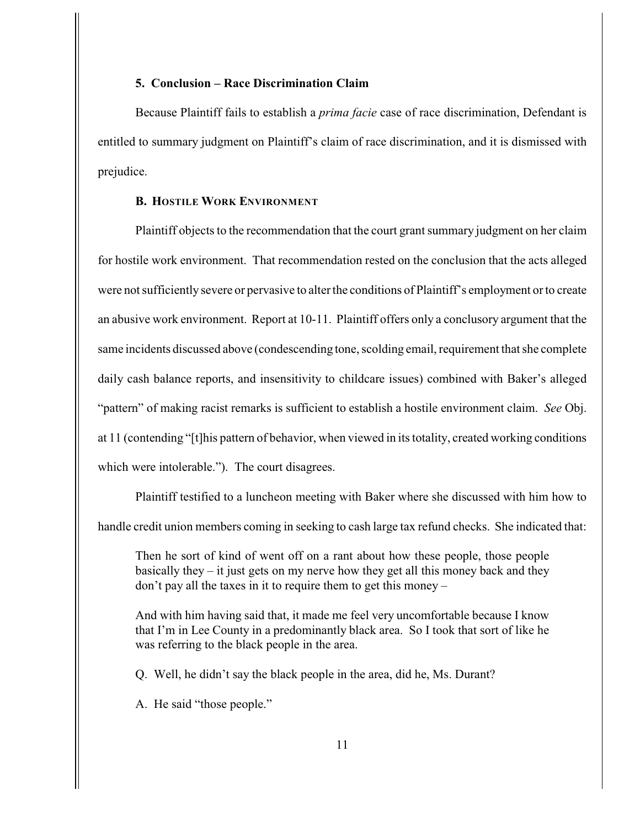### **5. Conclusion – Race Discrimination Claim**

Because Plaintiff fails to establish a *prima facie* case of race discrimination, Defendant is entitled to summary judgment on Plaintiff's claim of race discrimination, and it is dismissed with prejudice.

# **B. HOSTILE WORK ENVIRONMENT**

Plaintiff objects to the recommendation that the court grant summary judgment on her claim for hostile work environment. That recommendation rested on the conclusion that the acts alleged were not sufficiently severe or pervasive to alter the conditions of Plaintiff's employment or to create an abusive work environment. Report at 10-11. Plaintiff offers only a conclusory argument that the same incidents discussed above (condescending tone, scolding email, requirement that she complete daily cash balance reports, and insensitivity to childcare issues) combined with Baker's alleged "pattern" of making racist remarks is sufficient to establish a hostile environment claim. *See* Obj. at 11 (contending "[t]his pattern of behavior, when viewed in its totality, created working conditions which were intolerable."). The court disagrees.

Plaintiff testified to a luncheon meeting with Baker where she discussed with him how to handle credit union members coming in seeking to cash large tax refund checks. She indicated that:

Then he sort of kind of went off on a rant about how these people, those people basically they  $-$  it just gets on my nerve how they get all this money back and they don't pay all the taxes in it to require them to get this money –

And with him having said that, it made me feel very uncomfortable because I know that I'm in Lee County in a predominantly black area. So I took that sort of like he was referring to the black people in the area.

Q. Well, he didn't say the black people in the area, did he, Ms. Durant?

A. He said "those people."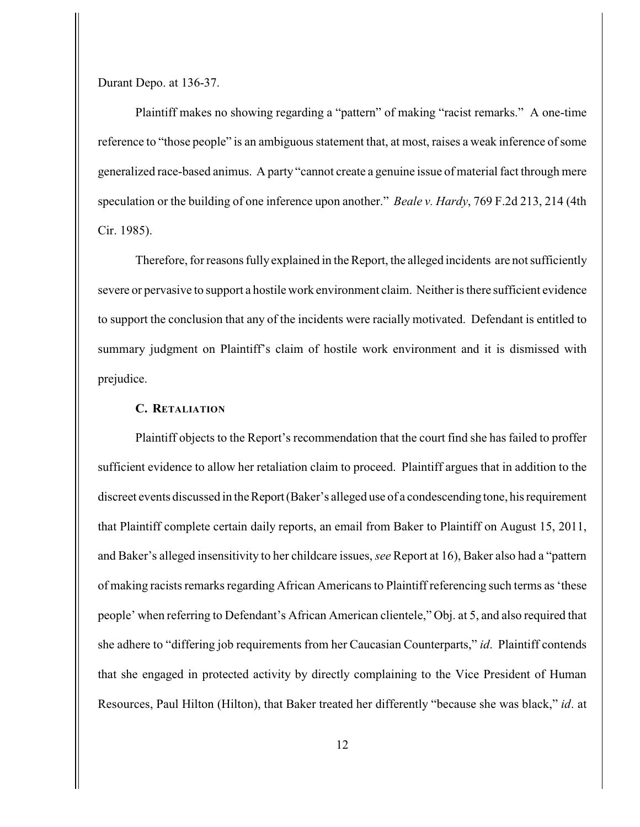Durant Depo. at 136-37.

Plaintiff makes no showing regarding a "pattern" of making "racist remarks." A one-time reference to "those people" is an ambiguous statement that, at most, raises a weak inference of some generalized race-based animus. A party "cannot create a genuine issue of material fact through mere speculation or the building of one inference upon another." *Beale v. Hardy*, 769 F.2d 213, 214 (4th Cir. 1985).

Therefore, for reasons fully explained in the Report, the alleged incidents are not sufficiently severe or pervasive to support a hostile work environment claim. Neither is there sufficient evidence to support the conclusion that any of the incidents were racially motivated. Defendant is entitled to summary judgment on Plaintiff's claim of hostile work environment and it is dismissed with prejudice.

## **C. RETALIATION**

Plaintiff objects to the Report's recommendation that the court find she has failed to proffer sufficient evidence to allow her retaliation claim to proceed. Plaintiff argues that in addition to the discreet events discussed in the Report (Baker's alleged use of a condescending tone, his requirement that Plaintiff complete certain daily reports, an email from Baker to Plaintiff on August 15, 2011, and Baker's alleged insensitivity to her childcare issues, *see* Report at 16), Baker also had a "pattern of making racists remarks regarding African Americans to Plaintiff referencing such terms as 'these people' when referring to Defendant's African American clientele," Obj. at 5, and also required that she adhere to "differing job requirements from her Caucasian Counterparts," *id*. Plaintiff contends that she engaged in protected activity by directly complaining to the Vice President of Human Resources, Paul Hilton (Hilton), that Baker treated her differently "because she was black," *id*. at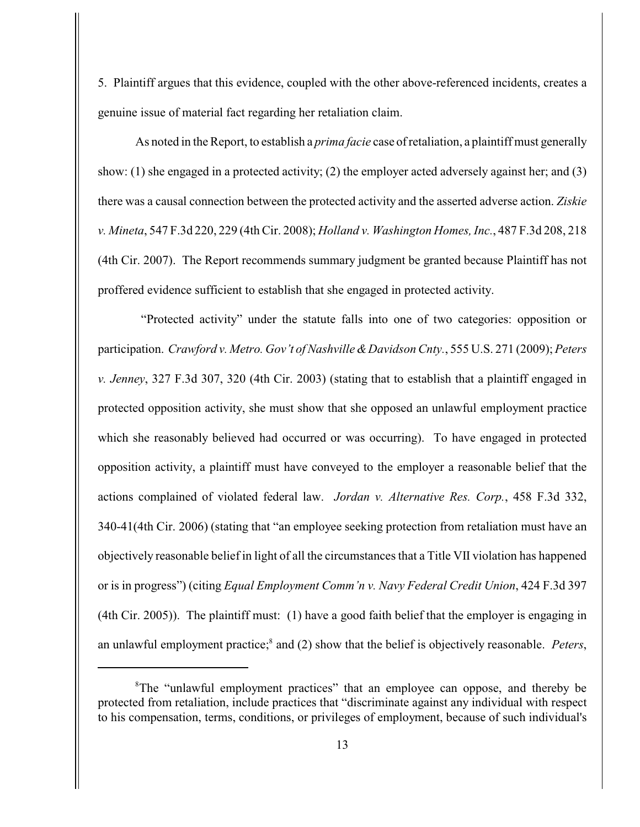5. Plaintiff argues that this evidence, coupled with the other above-referenced incidents, creates a genuine issue of material fact regarding her retaliation claim.

As noted in the Report, to establish a *prima facie* case of retaliation, a plaintiff must generally show: (1) she engaged in a protected activity; (2) the employer acted adversely against her; and (3) there was a causal connection between the protected activity and the asserted adverse action. *Ziskie v. Mineta*, 547 F.3d 220, 229 (4th Cir. 2008); *Holland v. Washington Homes, Inc.*, 487 F.3d 208, 218 (4th Cir. 2007). The Report recommends summary judgment be granted because Plaintiff has not proffered evidence sufficient to establish that she engaged in protected activity.

 "Protected activity" under the statute falls into one of two categories: opposition or participation. *Crawford v. Metro. Gov't of Nashville & Davidson Cnty.*, 555 U.S. 271 (2009); *Peters v. Jenney*, 327 F.3d 307, 320 (4th Cir. 2003) (stating that to establish that a plaintiff engaged in protected opposition activity, she must show that she opposed an unlawful employment practice which she reasonably believed had occurred or was occurring). To have engaged in protected opposition activity, a plaintiff must have conveyed to the employer a reasonable belief that the actions complained of violated federal law. *Jordan v. Alternative Res. Corp.*, 458 F.3d 332, 340-41(4th Cir. 2006) (stating that "an employee seeking protection from retaliation must have an objectively reasonable belief in light of all the circumstances that a Title VII violation has happened or is in progress") (citing *Equal Employment Comm'n v. Navy Federal Credit Union*, 424 F.3d 397 (4th Cir. 2005)). The plaintiff must: (1) have a good faith belief that the employer is engaging in an unlawful employment practice;<sup>8</sup> and (2) show that the belief is objectively reasonable. Peters,

<sup>&</sup>lt;sup>8</sup>The "unlawful employment practices" that an employee can oppose, and thereby be protected from retaliation, include practices that "discriminate against any individual with respect to his compensation, terms, conditions, or privileges of employment, because of such individual's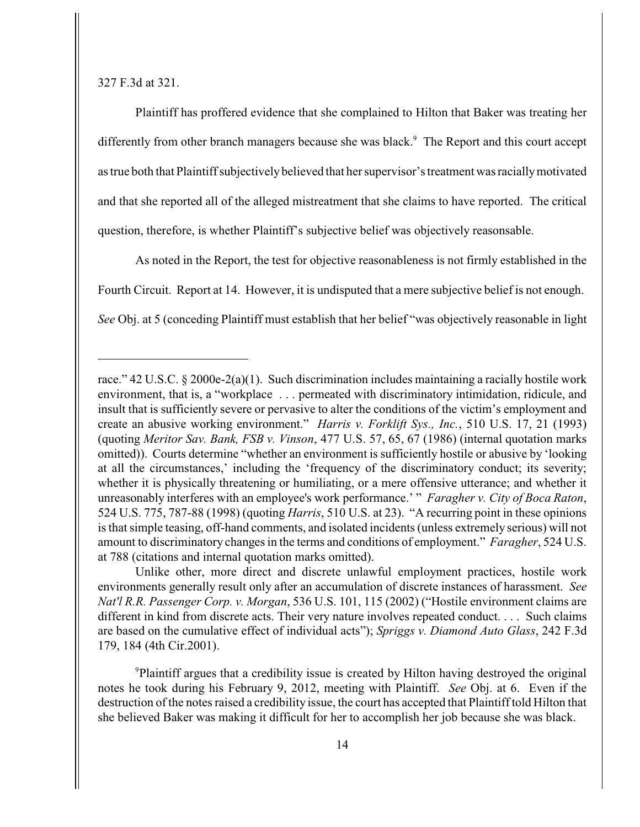327 F.3d at 321.

Plaintiff has proffered evidence that she complained to Hilton that Baker was treating her differently from other branch managers because she was black.<sup>9</sup> The Report and this court accept as true both that Plaintiff subjectively believed that her supervisor's treatment was racially motivated and that she reported all of the alleged mistreatment that she claims to have reported. The critical question, therefore, is whether Plaintiff's subjective belief was objectively reasonsable.

As noted in the Report, the test for objective reasonableness is not firmly established in the Fourth Circuit. Report at 14. However, it is undisputed that a mere subjective belief is not enough. *See* Obj. at 5 (conceding Plaintiff must establish that her belief "was objectively reasonable in light

Unlike other, more direct and discrete unlawful employment practices, hostile work environments generally result only after an accumulation of discrete instances of harassment. *See Nat'l R.R. Passenger Corp. v. Morgan*, 536 U.S. 101, 115 (2002) ("Hostile environment claims are different in kind from discrete acts. Their very nature involves repeated conduct. . . . Such claims are based on the cumulative effect of individual acts"); *Spriggs v. Diamond Auto Glass*, 242 F.3d 179, 184 (4th Cir.2001).

Plaintiff argues that a credibility issue is created by Hilton having destroyed the original <sup>9</sup> notes he took during his February 9, 2012, meeting with Plaintiff. *See* Obj. at 6. Even if the destruction of the notes raised a credibility issue, the court has accepted that Plaintiff told Hilton that she believed Baker was making it difficult for her to accomplish her job because she was black.

race." 42 U.S.C.  $\S 2000e^{-2(a)}(1)$ . Such discrimination includes maintaining a racially hostile work environment, that is, a "workplace . . . permeated with discriminatory intimidation, ridicule, and insult that is sufficiently severe or pervasive to alter the conditions of the victim's employment and create an abusive working environment." *Harris v. Forklift Sys., Inc.*, 510 U.S. 17, 21 (1993) (quoting *Meritor Sav. Bank, FSB v. Vinson*, 477 U.S. 57, 65, 67 (1986) (internal quotation marks omitted)). Courts determine "whether an environment is sufficiently hostile or abusive by 'looking at all the circumstances,' including the 'frequency of the discriminatory conduct; its severity; whether it is physically threatening or humiliating, or a mere offensive utterance; and whether it unreasonably interferes with an employee's work performance.' " *Faragher v. City of Boca Raton*, 524 U.S. 775, 787-88 (1998) (quoting *Harris*, 510 U.S. at 23). "A recurring point in these opinions is that simple teasing, off-hand comments, and isolated incidents (unless extremely serious) will not amount to discriminatory changes in the terms and conditions of employment." *Faragher*, 524 U.S. at 788 (citations and internal quotation marks omitted).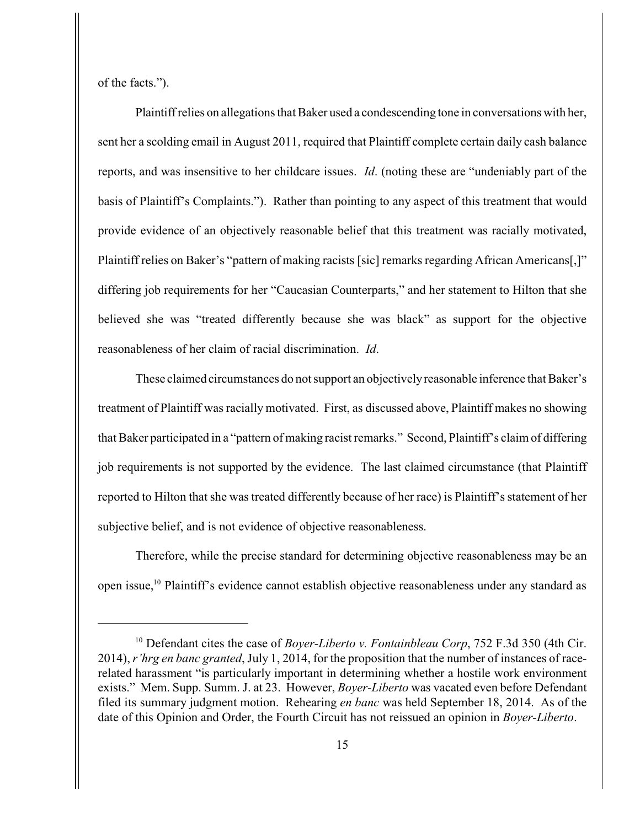of the facts.").

Plaintiff relies on allegations that Baker used a condescending tone in conversations with her, sent her a scolding email in August 2011, required that Plaintiff complete certain daily cash balance reports, and was insensitive to her childcare issues. *Id*. (noting these are "undeniably part of the basis of Plaintiff's Complaints."). Rather than pointing to any aspect of this treatment that would provide evidence of an objectively reasonable belief that this treatment was racially motivated, Plaintiff relies on Baker's "pattern of making racists [sic] remarks regarding African Americans[,]" differing job requirements for her "Caucasian Counterparts," and her statement to Hilton that she believed she was "treated differently because she was black" as support for the objective reasonableness of her claim of racial discrimination. *Id*.

These claimed circumstances do not support an objectively reasonable inference that Baker's treatment of Plaintiff was racially motivated. First, as discussed above, Plaintiff makes no showing that Baker participated in a "pattern of making racist remarks." Second, Plaintiff's claim of differing job requirements is not supported by the evidence. The last claimed circumstance (that Plaintiff reported to Hilton that she was treated differently because of her race) is Plaintiff's statement of her subjective belief, and is not evidence of objective reasonableness.

Therefore, while the precise standard for determining objective reasonableness may be an open issue,<sup>10</sup> Plaintiff's evidence cannot establish objective reasonableness under any standard as

<sup>&</sup>lt;sup>10</sup> Defendant cites the case of *Boyer-Liberto v. Fontainbleau Corp*, 752 F.3d 350 (4th Cir. 2014), *r'hrg en banc granted*, July 1, 2014, for the proposition that the number of instances of racerelated harassment "is particularly important in determining whether a hostile work environment exists." Mem. Supp. Summ. J. at 23. However, *Boyer-Liberto* was vacated even before Defendant filed its summary judgment motion. Rehearing *en banc* was held September 18, 2014. As of the date of this Opinion and Order, the Fourth Circuit has not reissued an opinion in *Boyer-Liberto*.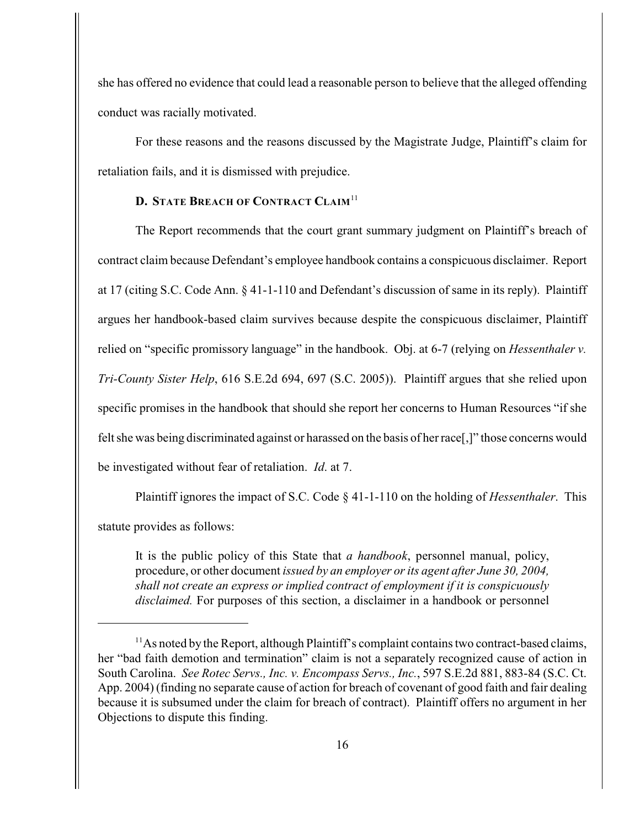she has offered no evidence that could lead a reasonable person to believe that the alleged offending conduct was racially motivated.

 For these reasons and the reasons discussed by the Magistrate Judge, Plaintiff's claim for retaliation fails, and it is dismissed with prejudice.

# **D. STATE BREACH OF CONTRACT CLAIM**<sup>11</sup>

The Report recommends that the court grant summary judgment on Plaintiff's breach of contract claim because Defendant's employee handbook contains a conspicuous disclaimer. Report at 17 (citing S.C. Code Ann. § 41-1-110 and Defendant's discussion of same in its reply). Plaintiff argues her handbook-based claim survives because despite the conspicuous disclaimer, Plaintiff relied on "specific promissory language" in the handbook. Obj. at 6-7 (relying on *Hessenthaler v. Tri-County Sister Help*, 616 S.E.2d 694, 697 (S.C. 2005)). Plaintiff argues that she relied upon specific promises in the handbook that should she report her concerns to Human Resources "if she felt she was being discriminated against or harassed on the basis of her race[,]" those concerns would be investigated without fear of retaliation. *Id*. at 7.

Plaintiff ignores the impact of S.C. Code § 41-1-110 on the holding of *Hessenthaler*. This statute provides as follows:

It is the public policy of this State that *a handbook*, personnel manual, policy, procedure, or other document *issued by an employer or its agent after June 30, 2004, shall not create an express or implied contract of employment if it is conspicuously disclaimed.* For purposes of this section, a disclaimer in a handbook or personnel

 $^{11}$ As noted by the Report, although Plaintiff's complaint contains two contract-based claims, her "bad faith demotion and termination" claim is not a separately recognized cause of action in South Carolina. *See Rotec Servs., Inc. v. Encompass Servs., Inc.*, 597 S.E.2d 881, 883-84 (S.C. Ct. App. 2004) (finding no separate cause of action for breach of covenant of good faith and fair dealing because it is subsumed under the claim for breach of contract). Plaintiff offers no argument in her Objections to dispute this finding.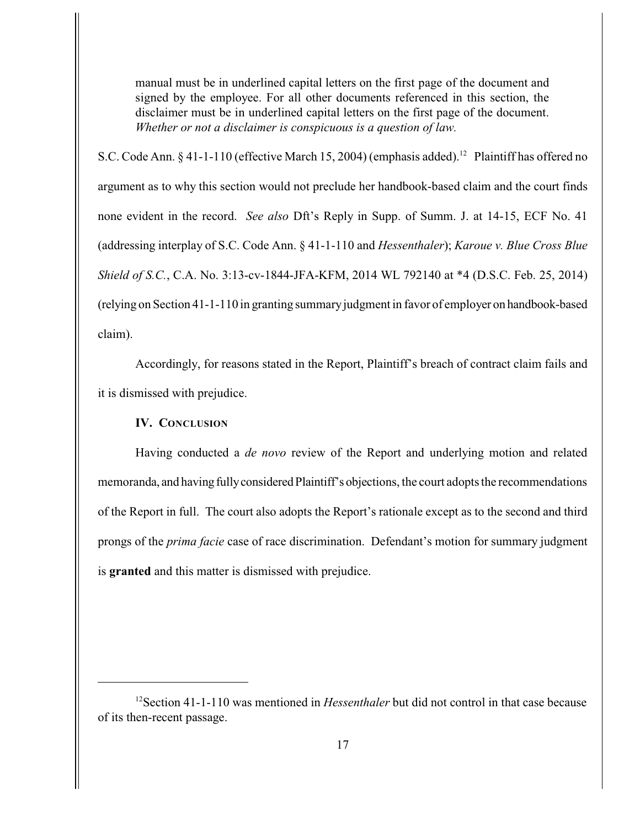manual must be in underlined capital letters on the first page of the document and signed by the employee. For all other documents referenced in this section, the disclaimer must be in underlined capital letters on the first page of the document. *Whether or not a disclaimer is conspicuous is a question of law.*

S.C. Code Ann.  $\S 41-1-110$  (effective March 15, 2004) (emphasis added).<sup>12</sup> Plaintiff has offered no argument as to why this section would not preclude her handbook-based claim and the court finds none evident in the record. *See also* Dft's Reply in Supp. of Summ. J. at 14-15, ECF No. 41 (addressing interplay of S.C. Code Ann. § 41-1-110 and *Hessenthaler*); *Karoue v. Blue Cross Blue Shield of S.C.*, C.A. No. 3:13-cv-1844-JFA-KFM, 2014 WL 792140 at \*4 (D.S.C. Feb. 25, 2014) (relying on Section 41-1-110 in granting summary judgment in favor of employer on handbook-based claim).

Accordingly, for reasons stated in the Report, Plaintiff's breach of contract claim fails and it is dismissed with prejudice.

### **IV. CONCLUSION**

Having conducted a *de novo* review of the Report and underlying motion and related memoranda, and having fully considered Plaintiff's objections, the court adopts the recommendations of the Report in full. The court also adopts the Report's rationale except as to the second and third prongs of the *prima facie* case of race discrimination. Defendant's motion for summary judgment is **granted** and this matter is dismissed with prejudice.

<sup>&</sup>lt;sup>12</sup> Section 41-1-110 was mentioned in *Hessenthaler* but did not control in that case because of its then-recent passage.